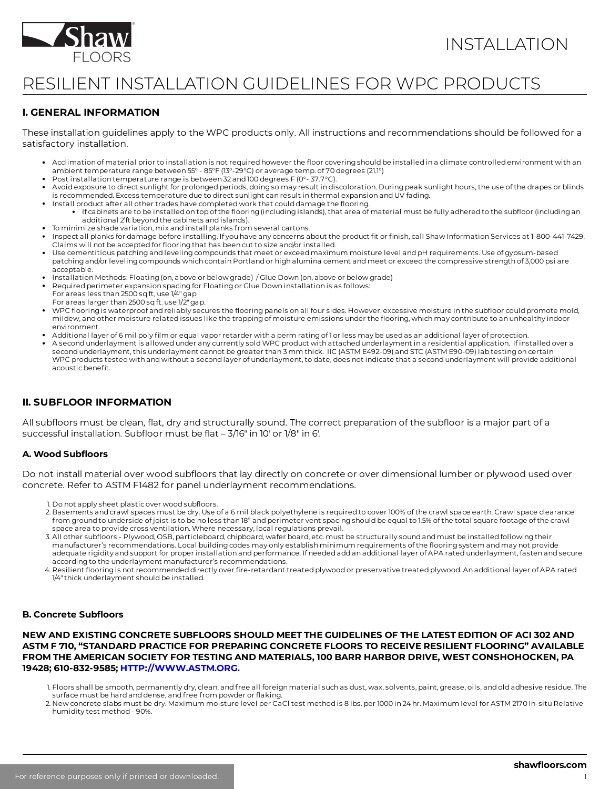

# RESILIENT INSTALLATION GUIDELINES FOR WPC PRODUCTS

# **I. GENERAL INFORMATION**

These installation guidelines apply to the WPC products only. All instructions and recommendations should be followed for a satisfactory installation.

- Acclimation of material prior to installation is not required however the floor covering should be installed in a climate controlled environment with an ambient temperature range between 55° - 85°F (13°-29°C) or average temp. of 70 degrees (21.1°)
- Post installation temperature range is between 32 and 100 degrees F (0°- 37.7°C).
- Avoid exposure to direct sunlight for prolonged periods, doing so may result in discoloration. During peak sunlight hours, the use of the drapes or blinds is recommended. Excess temperature due to direct sunlight can result in thermal expansion and UV fading.
- Install product after all other trades have completed work that could damage the flooring.
	- $\bullet^-$  If cabinets are to be installed on top of the flooring (including islands), that area of material must be fully adhered to the subfloor (including an additional 2'ft beyond the cabinets and islands).
- To minimize shade variation, mix and install planks from several cartons.
- Inspect all planks for damage before installing. If you have any concerns about the product fit or finish, call Shaw Information Services at 1-800-441-7429. Claims will not be accepted for flooring that has been cut to size and/or installed.
- Use cementitious patchingand levelingcompounds that meet or exceed maximum moisture level and pH requirements. Use of gypsum-based patching and/or leveling compounds which contain Portland or high alumina cement and meet or exceed the compressive strength of 3,000 psi are acceptable.
- Installation Methods: Floating(on, above or below grade) / Glue Down (on, above or below grade)
- Required perimeter expansion spacing for Floating or Glue Down installation is as follows:
- For areas less than 2500 sq ft, use 1/4" gap
- For areas larger than 2500 sq ft. use  $1/2$ " gap.
- WPC flooring is waterproof and reliably secures the flooring panels on all four sides. However, excessive moisture in the subfloor could promote mold, mildew, and other moisture related issues like the trapping of moisture emissions under the flooring, which may contribute to an unhealthy indoor environment.
- $\bullet$  Additional layer of 6 mil poly film or equal vapor retarder with a perm rating of 1 or less may be used as an additional layer of protection.
- A second underlayment is allowed under any currently soldWPC product with attached underlayment in a residential application. If installed over a second underlayment, this underlayment cannot be greater than 3 mm thick. IIC (ASTM E492-09) and STC (ASTM E90-09) lab testingon certain WPC products tested with and without a second layer of underlayment, to date, does not indicate that a second underlayment will provide additional acoustic benefit.

## **II. SUBFLOOR INFORMATION**

All subfloors must be clean, flat, dry and structurally sound. The correct preparation of the subfloor is a major part of a successful installation. Subfloor must be flat  $-3/16$ " in 10' or  $1/8$ " in 6'.

## **A. Wood Suboors**

Do not install material over wood subfloors that lay directly on concrete or over dimensional lumber or plywood used over concrete. Refer to ASTM F1482 for panel underlayment recommendations.

- 1. Do not apply sheet plastic over wood subfloors.
- 2. Basements and crawl spaces must be dry. Use of a 6 mil black polyethylene is required to cover 100% of the crawl space earth. Crawl space clearance from ground to underside of joist is to be no less than 18" and perimeter vent spacingshould be equal to 1.5% of the total square footage of the crawl space area to provide cross ventilation. Where necessary, local regulations prevail.
- 3. All other subfloors Plywood, OSB, particleboard, chipboard, wafer board, etc. must be structurally sound and must be installed following their manufacturer's recommendations. Local building codes may only establish minimum requirements of the flooring system and may not provide adequate rigidity and support for proper installation and performance. If needed add an additional layer of APA rated underlayment, fasten and secure according to the underlayment manufacturer's recommendations.
- 4. Resilient flooring is not recommended directly over fire-retardant treated plywood or preservative treated plywood. An additional layer of APA rated 1/4" thick underlayment should be installed.

#### **B.** Concrete Subfloors

**NEW AND EXISTING CONCRETE SUBFLOORS SHOULD MEET THE GUIDELINES OF THE LATEST EDITION OF ACI 302 AND ASTM F 710, "STANDARD PRACTICE FOR PREPARING CONCRETE FLOORS TO RECEIVE RESILIENT FLOORING" AVAILABLE FROM THE AMERICAN SOCIETY FOR TESTING AND MATERIALS, 100 BARR HARBOR DRIVE, WEST CONSHOHOCKEN, PA 19428; 610-832-9585; [HTTP://WWW.ASTM.ORG](http://www.astm.org/).**

2. New concrete slabs must be dry. Maximum moisture level per CaCl test method is 8 lbs. per 1000 in 24 hr. Maximum level for ASTM 2170 In-situ Relative humidity test method - 90%.

<sup>1.</sup> Floors shall be smooth, permanently dry, clean, and free all foreign material such as dust, wax, solvents, paint, grease, oils, and old adhesive residue. The surface must be hard and dense, and free from powder or flaking.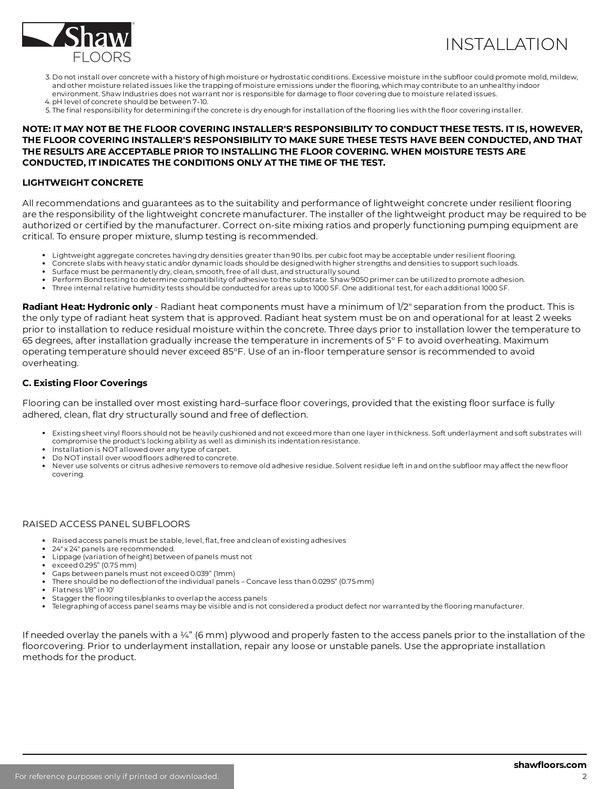

# INSTALLATION

- 3. Do not install over concrete with a history of high moisture or hydrostatic conditions. Excessive moisture in the subfloor could promote mold, mildew, and other moisture related issues like the trapping of moisture emissions under the flooring, which may contribute to an unhealthy indoor environment. Shaw Industries does not warrant nor is responsible for damage to floor covering due to moisture related issues.
- 4. pH level of concrete should be between 7-10.
- 5. The final responsibility for determining if the concrete is dry enough for installation of the flooring lies with the floor covering installer.

### **NOTE: IT MAY NOT BE THE FLOOR COVERING INSTALLER'S RESPONSIBILITY TO CONDUCT THESE TESTS. IT IS, HOWEVER, THE FLOOR COVERING INSTALLER'S RESPONSIBILITY TO MAKE SURE THESE TESTS HAVE BEEN CONDUCTED, AND THAT THE RESULTS ARE ACCEPTABLE PRIOR TO INSTALLING THE FLOOR COVERING. WHEN MOISTURE TESTS ARE CONDUCTED, IT INDICATES THE CONDITIONS ONLY AT THE TIME OF THE TEST.**

#### **LIGHTWEIGHT CONCRETE**

All recommendations and guarantees as to the suitability and performance of lightweight concrete under resilient flooring are the responsibility of the lightweight concrete manufacturer. The installer of the lightweight product may be required to be authorized or certified by the manufacturer. Correct on-site mixing ratios and properly functioning pumping equipment are critical. To ensure proper mixture, slump testing is recommended.

- Lightweight aggregate concretes having dry densities greater than 90 lbs. per cubic foot may be acceptable under resilient flooring.
- Concrete slabs with heavy static and/or dynamic loads should be designed with higher strengths and densities to support such loads.
- Surface must be permanently dry, clean, smooth, free of all dust, and structurally sound.
- Perform Bond testingto determine compatibility of adhesive to the substrate. Shaw 9050 primer can be utilized to promote adhesion.
- Three internal relative humidity tests should be conducted for areas up to 1000 SF. One additional test, for each additional 1000 SF.

**Radiant Heat: Hydronic only** - Radiant heat components must have a minimum of 1/2" separation from the product. This is the only type of radiant heat system that is approved. Radiant heat system must be on and operational for at least 2 weeks prior to installation to reduce residual moisture within the concrete. Three days prior to installation lower the temperature to 65 degrees, after installation gradually increase the temperature in increments of 5° F to avoid overheating. Maximum operating temperature should never exceed 85°F. Use of an in-floor temperature sensor is recommended to avoid overheating.

### **C. Existing Floor Coverings**

Flooring can be installed over most existing hard-surface floor coverings, provided that the existing floor surface is fully adhered, clean, flat dry structurally sound and free of deflection.

- Existing sheet vinyl floors should not be heavily cushioned and not exceed more than one layer in thickness. Soft underlayment and soft substrates will compromise the product's lockingability as well as diminish its indentation resistance.
- Installation is NOT allowed over any type of carpet.
- Do NOT install over wood floors adhered to concrete.
- Never use solvents or citrus adhesive removers to remove old adhesive residue. Solvent residue left in and on the subfloor may affect the new floor covering.

#### RAISED ACCESS PANEL SUBFLOORS

- Raised access panels must be stable, level, flat, free and clean of existing adhesives
- 24" x 24" panels are recommended.
- Lippage (variation of height) between of panels must not
- exceed 0.295" (0.75 mm)
- Gaps between panels must not exceed 0.039" (1mm)
- There should be no deflection of the individual panels Concave less than 0.0295" (0.75 mm)
- Flatness 1/8" in 10'
- Stagger the flooring tiles/planks to overlap the access panels
- Telegraphing of access panel seams may be visible and is not considered a product defect nor warranted by the flooring manufacturer.

If needed overlay the panels with a ¼" (6 mm) plywood and properly fasten to the access panels prior to the installation of the floorcovering. Prior to underlayment installation, repair any loose or unstable panels. Use the appropriate installation methods for the product.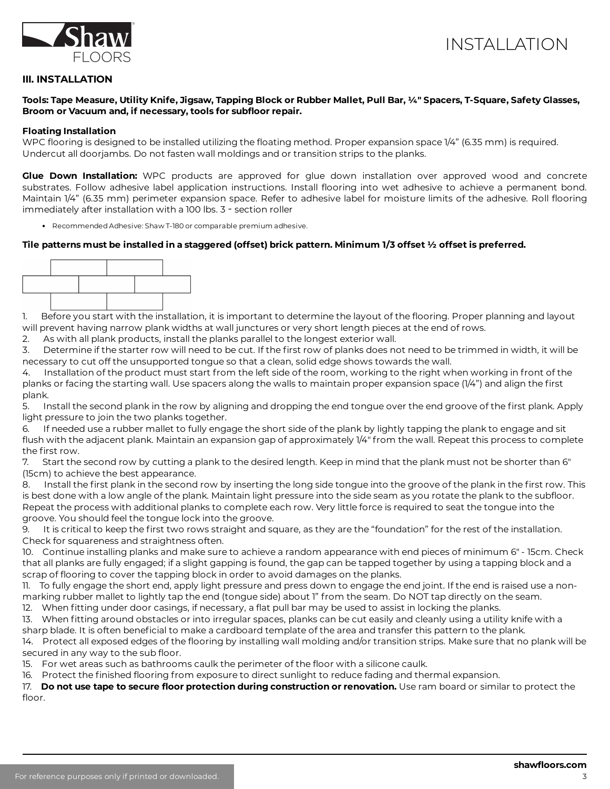

## **III. INSTALLATION**

#### Tools: Tape Measure, Utility Knife, Jigsaw, Tapping Block or Rubber Mallet, Pull Bar, ¼" Spacers, T-Square, Safety Glasses, **Broom** or Vacuum and, if necessary, tools for subfloor repair.

#### **Floating Installation**

WPC flooring is designed to be installed utilizing the floating method. Proper expansion space 1/4" (6.35 mm) is required. Undercut all doorjambs. Do not fasten wall moldings and or transition strips to the planks.

**Glue Down Installation:** WPC products are approved for glue down installation over approved wood and concrete substrates. Follow adhesive label application instructions. Install flooring into wet adhesive to achieve a permanent bond. Maintain 1/4" (6.35 mm) perimeter expansion space. Refer to adhesive label for moisture limits of the adhesive. Roll flooring immediately after installation with a 100 lbs. 3 - section roller

Recommended Adhesive: Shaw T-180 or comparable premium adhesive.

#### Tile patterns must be installed in a staggered (offset) brick pattern. Minimum 1/3 offset  $\frac{1}{2}$  offset is preferred.



1. Before you start with the installation, it is important to determine the layout of the flooring. Proper planning and layout will prevent having narrow plank widths at wall junctures or very short length pieces at the end of rows.

2. As with all plank products, install the planks parallel to the longest exterior wall.

3. Determine if the starter row will need to be cut. If the first row of planks does not need to be trimmed in width, it will be necessary to cut off the unsupported tongue so that a clean, solid edge shows towards the wall.

4. Installation of the product must start from the left side of the room, working to the right when working in front of the planks or facing the starting wall. Use spacers along the walls to maintain proper expansion space (1/4") and align the first plank.

5. Install the second plank in the row by aligning and dropping the end tongue over the end groove of the first plank. Apply light pressure to join the two planks together.

6. If needed use a rubber mallet to fully engage the short side of the plank by lightly tapping the plank to engage and sit flush with the adjacent plank. Maintain an expansion gap of approximately 1/4" from the wall. Repeat this process to complete the first row.

7. Start the second row by cutting a plank to the desired length. Keep in mind that the plank must not be shorter than 6" (15cm) to achieve the best appearance.

8. Install the first plank in the second row by inserting the long side tongue into the groove of the plank in the first row. This is best done with a low angle of the plank. Maintain light pressure into the side seam as you rotate the plank to the subfloor. Repeat the process with additional planks to complete each row. Very little force is required to seat the tongue into the groove. You should feel the tongue lock into the groove.

9. It is critical to keep the first two rows straight and square, as they are the "foundation" for the rest of the installation. Check for squareness and straightness often.

10. Continue installing planks and make sure to achieve a random appearance with end pieces of minimum 6" - 15cm. Check that all planks are fully engaged; if a slight gapping is found, the gap can be tapped together by using a tapping block and a scrap of flooring to cover the tapping block in order to avoid damages on the planks.

11. To fully engage the short end, apply light pressure and press down to engage the end joint. If the end is raised use a nonmarking rubber mallet to lightly tap the end (tongue side) about 1" from the seam. Do NOT tap directly on the seam.

12. When fitting under door casings, if necessary, a flat pull bar may be used to assist in locking the planks.

13. When fitting around obstacles or into irregular spaces, planks can be cut easily and cleanly using a utility knife with a sharp blade. It is often beneficial to make a cardboard template of the area and transfer this pattern to the plank.

14. Protect all exposed edges of the flooring by installing wall molding and/or transition strips. Make sure that no plank will be secured in any way to the sub floor.

15. For wet areas such as bathrooms caulk the perimeter of the floor with a silicone caulk.

16. Protect the finished flooring from exposure to direct sunlight to reduce fading and thermal expansion.

17. **Do not use tape to secure floor protection during construction or renovation. Use ram board or similar to protect the** floor.